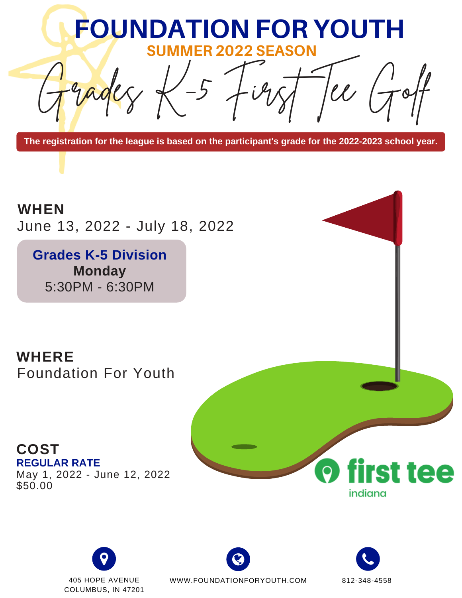

**The registration for the league is based on the participant's grade for the 2022-2023 school year.**

June 13, 2022 - July 18, 2022 **WHEN**

**Grades K-5 Division Monday** 5:30PM - 6:30PM

Foundation For Youth **WHERE**

**REGULAR RATE** May 1, 2022 - June 12, 2022 \$50.00 **COST**



COLUMBUS, IN 47201



405 HOPE AVENUE 812-348-4558 WWW.FOUNDATIONFORYOUTH.COM